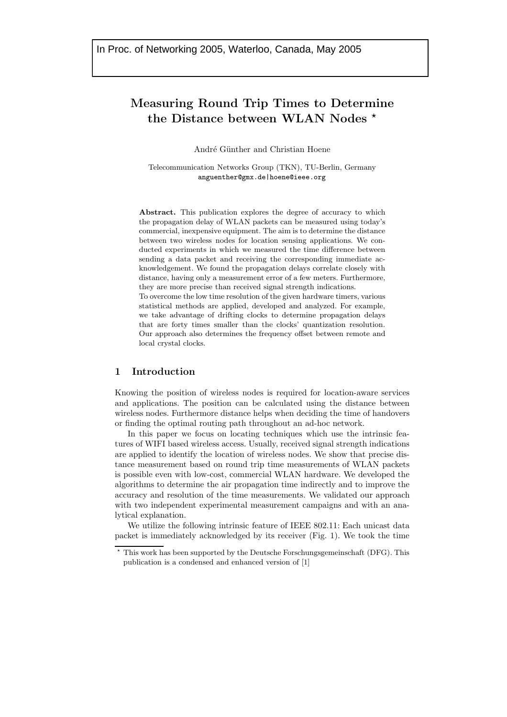# **Measuring Round Trip Times to Determine the Distance between WLAN Nodes**

André Günther and Christian Hoene

Telecommunication Networks Group (TKN), TU-Berlin, Germany anguenther@gmx.de|hoene@ieee.org

Abstract. This publication explores the degree of accuracy to which the propagation delay of WLAN packets can be measured using today's commercial, inexpensive equipment. The aim is to determine the distance between two wireless nodes for location sensing applications. We conducted experiments in which we measured the time difference between sending a data packet and receiving the corresponding immediate acknowledgement. We found the propagation delays correlate closely with distance, having only a measurement error of a few meters. Furthermore, they are more precise than received signal strength indications.

To overcome the low time resolution of the given hardware timers, various statistical methods are applied, developed and analyzed. For example, we take advantage of drifting clocks to determine propagation delays that are forty times smaller than the clocks' quantization resolution. Our approach also determines the frequency offset between remote and local crystal clocks.

# **1 Introduction**

Knowing the position of wireless nodes is required for location-aware services and applications. The position can be calculated using the distance between wireless nodes. Furthermore distance helps when deciding the time of handovers or finding the optimal routing path throughout an ad-hoc network.

In this paper we focus on locating techniques which use the intrinsic features of WIFI based wireless access. Usually, received signal strength indications are applied to identify the location of wireless nodes. We show that precise distance measurement based on round trip time measurements of WLAN packets is possible even with low-cost, commercial WLAN hardware. We developed the algorithms to determine the air propagation time indirectly and to improve the accuracy and resolution of the time measurements. We validated our approach with two independent experimental measurement campaigns and with an analytical explanation.

We utilize the following intrinsic feature of IEEE 802.11: Each unicast data packet is immediately acknowledged by its receiver (Fig. 1). We took the time

This work has been supported by the Deutsche Forschungsgemeinschaft (DFG). This publication is a condensed and enhanced version of [1]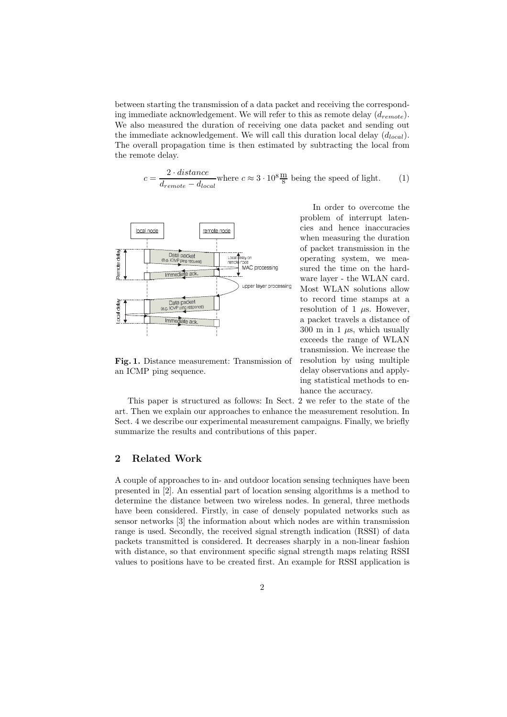between starting the transmission of a data packet and receiving the corresponding immediate acknowledgement. We will refer to this as remote delay (d*remote*). We also measured the duration of receiving one data packet and sending out the immediate acknowledgement. We will call this duration local delay (d*local*). The overall propagation time is then estimated by subtracting the local from the remote delay.

$$
c = \frac{2 \cdot distance}{d_{remote} - d_{local}} \text{where } c \approx 3 \cdot 10^8 \frac{\text{m}}{\text{s}} \text{ being the speed of light.} \tag{1}
$$



**Fig. 1.** Distance measurement: Transmission of an ICMP ping sequence.

In order to overcome the problem of interrupt latencies and hence inaccuracies when measuring the duration of packet transmission in the operating system, we measured the time on the hardware layer - the WLAN card. Most WLAN solutions allow to record time stamps at a resolution of 1  $\mu$ s. However, a packet travels a distance of 300 m in 1  $\mu$ s, which usually exceeds the range of WLAN transmission. We increase the resolution by using multiple delay observations and applying statistical methods to enhance the accuracy.

This paper is structured as follows: In Sect. 2 we refer to the state of the art. Then we explain our approaches to enhance the measurement resolution. In Sect. 4 we describe our experimental measurement campaigns. Finally, we briefly summarize the results and contributions of this paper.

# **2 Related Work**

A couple of approaches to in- and outdoor location sensing techniques have been presented in [2]. An essential part of location sensing algorithms is a method to determine the distance between two wireless nodes. In general, three methods have been considered. Firstly, in case of densely populated networks such as sensor networks [3] the information about which nodes are within transmission range is used. Secondly, the received signal strength indication (RSSI) of data packets transmitted is considered. It decreases sharply in a non-linear fashion with distance, so that environment specific signal strength maps relating RSSI values to positions have to be created first. An example for RSSI application is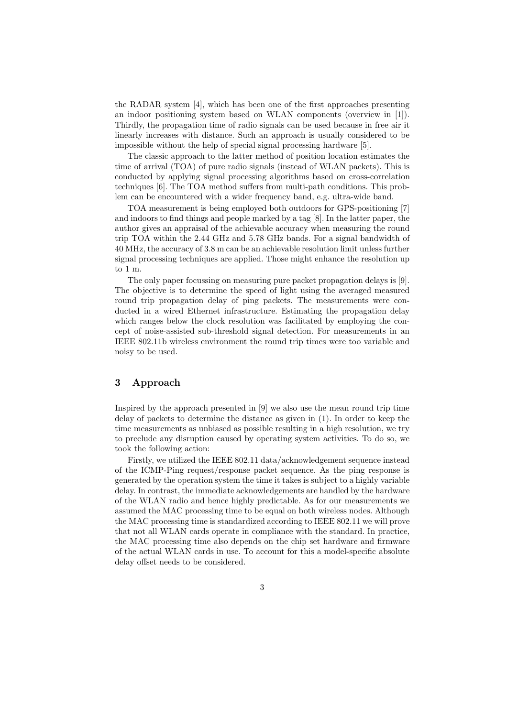the RADAR system [4], which has been one of the first approaches presenting an indoor positioning system based on WLAN components (overview in [1]). Thirdly, the propagation time of radio signals can be used because in free air it linearly increases with distance. Such an approach is usually considered to be impossible without the help of special signal processing hardware [5].

The classic approach to the latter method of position location estimates the time of arrival (TOA) of pure radio signals (instead of WLAN packets). This is conducted by applying signal processing algorithms based on cross-correlation techniques [6]. The TOA method suffers from multi-path conditions. This problem can be encountered with a wider frequency band, e.g. ultra-wide band.

TOA measurement is being employed both outdoors for GPS-positioning [7] and indoors to find things and people marked by a tag [8]. In the latter paper, the author gives an appraisal of the achievable accuracy when measuring the round trip TOA within the 2.44 GHz and 5.78 GHz bands. For a signal bandwidth of 40 MHz, the accuracy of 3.8 m can be an achievable resolution limit unless further signal processing techniques are applied. Those might enhance the resolution up to 1 m.

The only paper focussing on measuring pure packet propagation delays is [9]. The objective is to determine the speed of light using the averaged measured round trip propagation delay of ping packets. The measurements were conducted in a wired Ethernet infrastructure. Estimating the propagation delay which ranges below the clock resolution was facilitated by employing the concept of noise-assisted sub-threshold signal detection. For measurements in an IEEE 802.11b wireless environment the round trip times were too variable and noisy to be used.

# **3 Approach**

Inspired by the approach presented in [9] we also use the mean round trip time delay of packets to determine the distance as given in (1). In order to keep the time measurements as unbiased as possible resulting in a high resolution, we try to preclude any disruption caused by operating system activities. To do so, we took the following action:

Firstly, we utilized the IEEE 802.11 data/acknowledgement sequence instead of the ICMP-Ping request/response packet sequence. As the ping response is generated by the operation system the time it takes is subject to a highly variable delay. In contrast, the immediate acknowledgements are handled by the hardware of the WLAN radio and hence highly predictable. As for our measurements we assumed the MAC processing time to be equal on both wireless nodes. Although the MAC processing time is standardized according to IEEE 802.11 we will prove that not all WLAN cards operate in compliance with the standard. In practice, the MAC processing time also depends on the chip set hardware and firmware of the actual WLAN cards in use. To account for this a model-specific absolute delay offset needs to be considered.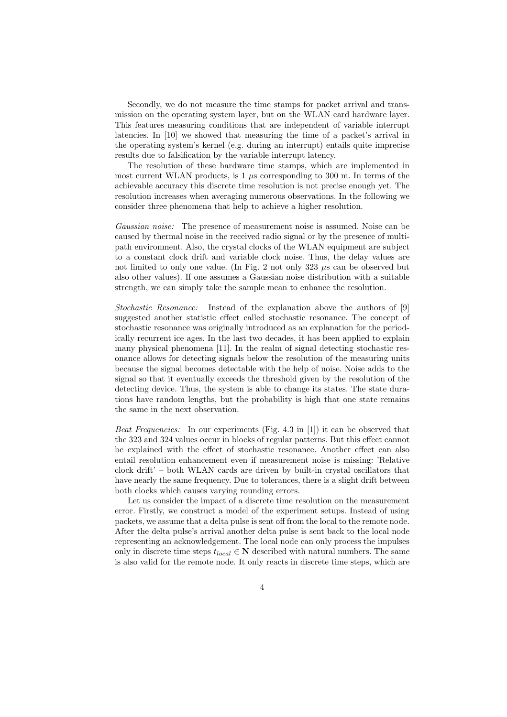Secondly, we do not measure the time stamps for packet arrival and transmission on the operating system layer, but on the WLAN card hardware layer. This features measuring conditions that are independent of variable interrupt latencies. In [10] we showed that measuring the time of a packet's arrival in the operating system's kernel (e.g. during an interrupt) entails quite imprecise results due to falsification by the variable interrupt latency.

The resolution of these hardware time stamps, which are implemented in most current WLAN products, is  $1 \mu s$  corresponding to 300 m. In terms of the achievable accuracy this discrete time resolution is not precise enough yet. The resolution increases when averaging numerous observations. In the following we consider three phenomena that help to achieve a higher resolution.

*Gaussian noise:* The presence of measurement noise is assumed. Noise can be caused by thermal noise in the received radio signal or by the presence of multipath environment. Also, the crystal clocks of the WLAN equipment are subject to a constant clock drift and variable clock noise. Thus, the delay values are not limited to only one value. (In Fig. 2 not only 323 µs can be observed but also other values). If one assumes a Gaussian noise distribution with a suitable strength, we can simply take the sample mean to enhance the resolution.

*Stochastic Resonance:* Instead of the explanation above the authors of [9] suggested another statistic effect called stochastic resonance. The concept of stochastic resonance was originally introduced as an explanation for the periodically recurrent ice ages. In the last two decades, it has been applied to explain many physical phenomena [11]. In the realm of signal detecting stochastic resonance allows for detecting signals below the resolution of the measuring units because the signal becomes detectable with the help of noise. Noise adds to the signal so that it eventually exceeds the threshold given by the resolution of the detecting device. Thus, the system is able to change its states. The state durations have random lengths, but the probability is high that one state remains the same in the next observation.

*Beat Frequencies:* In our experiments (Fig. 4.3 in [1]) it can be observed that the 323 and 324 values occur in blocks of regular patterns. But this effect cannot be explained with the effect of stochastic resonance. Another effect can also entail resolution enhancement even if measurement noise is missing: 'Relative clock drift' – both WLAN cards are driven by built-in crystal oscillators that have nearly the same frequency. Due to tolerances, there is a slight drift between both clocks which causes varying rounding errors.

Let us consider the impact of a discrete time resolution on the measurement error. Firstly, we construct a model of the experiment setups. Instead of using packets, we assume that a delta pulse is sent off from the local to the remote node. After the delta pulse's arrival another delta pulse is sent back to the local node representing an acknowledgement. The local node can only process the impulses only in discrete time steps  $t_{local} \in \mathbb{N}$  described with natural numbers. The same is also valid for the remote node. It only reacts in discrete time steps, which are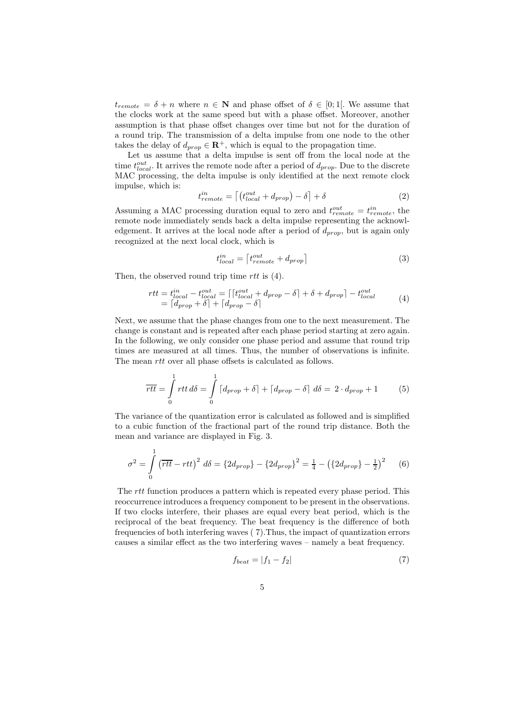$t_{remote} = \delta + n$  where  $n \in \mathbb{N}$  and phase offset of  $\delta \in [0,1]$ . We assume that the clocks work at the same speed but with a phase offset. Moreover, another assumption is that phase offset changes over time but not for the duration of a round trip. The transmission of a delta impulse from one node to the other takes the delay of  $d_{prop} \in \mathbb{R}^+$ , which is equal to the propagation time.

Let us assume that a delta impulse is sent off from the local node at the time  $t_{local}^{out}$ . It arrives the remote node after a period of  $d_{prop}$ . Due to the discrete MAC processing, the delta impulse is only identified at the next remote clock impulse, which is:

$$
t_{remote}^{in} = \left[ \left( t_{local}^{out} + d_{prop} \right) - \delta \right] + \delta \tag{2}
$$

Assuming a MAC processing duration equal to zero and  $t_{remote}^{out} = t_{remote}^{in}$ , the remote node immediately sends back a delta impulse representing the acknowledgement. It arrives at the local node after a period of  $d_{mop}$ , but is again only recognized at the next local clock, which is

$$
t_{local}^{in} = \left[ t_{remote}^{out} + d_{prop} \right] \tag{3}
$$

Then, the observed round trip time  $rtt$  is  $(4)$ .

$$
rtt = t_{local}^{in} - t_{local}^{out} = \lceil [t_{local}^{out} + d_{prop} - \delta] + \delta + d_{prop} \rceil - t_{local}^{out}
$$
  
=  $\lceil d_{prop} + \delta \rceil + \lceil d_{prop} - \delta \rceil$  (4)

Next, we assume that the phase changes from one to the next measurement. The change is constant and is repeated after each phase period starting at zero again. In the following, we only consider one phase period and assume that round trip times are measured at all times. Thus, the number of observations is infinite. The mean *rtt* over all phase offsets is calculated as follows.

$$
\overline{rtt} = \int_{0}^{1} rtt \, d\delta = \int_{0}^{1} \left[ d_{prop} + \delta \right] + \left[ d_{prop} - \delta \right] \, d\delta = 2 \cdot d_{prop} + 1 \tag{5}
$$

The variance of the quantization error is calculated as followed and is simplified to a cubic function of the fractional part of the round trip distance. Both the mean and variance are displayed in Fig. 3.

$$
\sigma^2 = \int_0^1 \left(\overline{rtt} - rt\right)^2 d\delta = \left\{2d_{prop}\right\} - \left\{2d_{prop}\right\}^2 = \frac{1}{4} - \left(\left\{2d_{prop}\right\} - \frac{1}{2}\right)^2 \tag{6}
$$

The rtt function produces a pattern which is repeated every phase period. This reoccurrence introduces a frequency component to be present in the observations. If two clocks interfere, their phases are equal every beat period, which is the reciprocal of the beat frequency. The beat frequency is the difference of both frequencies of both interfering waves ( 7).Thus, the impact of quantization errors causes a similar effect as the two interfering waves – namely a beat frequency.

$$
f_{beat} = |f_1 - f_2| \tag{7}
$$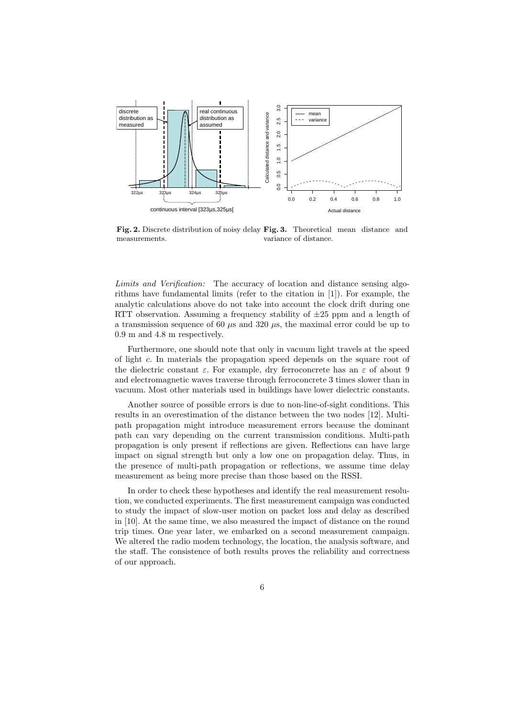

**Fig. 2.** Discrete distribution of noisy delay **Fig. 3.** Theoretical mean distance and measurements measurements. variance of distance.

*Limits and Verification:* The accuracy of location and distance sensing algorithms have fundamental limits (refer to the citation in [1]). For example, the analytic calculations above do not take into account the clock drift during one RTT observation. Assuming a frequency stability of  $\pm 25$  ppm and a length of a transmission sequence of 60  $\mu$ s and 320  $\mu$ s, the maximal error could be up to 0.9 m and 4.8 m respectively.

Furthermore, one should note that only in vacuum light travels at the speed of light c. In materials the propagation speed depends on the square root of the dielectric constant  $\varepsilon$ . For example, dry ferroconcrete has an  $\varepsilon$  of about 9 and electromagnetic waves traverse through ferroconcrete 3 times slower than in vacuum. Most other materials used in buildings have lower dielectric constants.

Another source of possible errors is due to non-line-of-sight conditions. This results in an overestimation of the distance between the two nodes [12]. Multipath propagation might introduce measurement errors because the dominant path can vary depending on the current transmission conditions. Multi-path propagation is only present if reflections are given. Reflections can have large impact on signal strength but only a low one on propagation delay. Thus, in the presence of multi-path propagation or reflections, we assume time delay measurement as being more precise than those based on the RSSI.

In order to check these hypotheses and identify the real measurement resolution, we conducted experiments. The first measurement campaign was conducted to study the impact of slow-user motion on packet loss and delay as described in [10]. At the same time, we also measured the impact of distance on the round trip times. One year later, we embarked on a second measurement campaign. We altered the radio modem technology, the location, the analysis software, and the staff. The consistence of both results proves the reliability and correctness of our approach.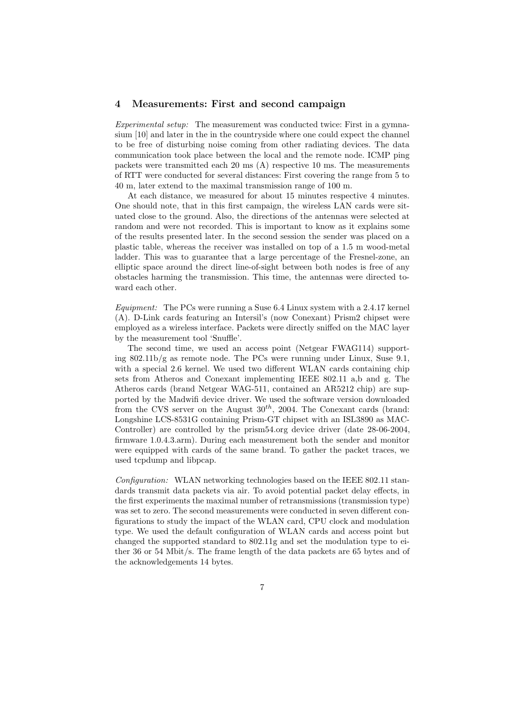#### **4 Measurements: First and second campaign**

*Experimental setup:* The measurement was conducted twice: First in a gymnasium [10] and later in the in the countryside where one could expect the channel to be free of disturbing noise coming from other radiating devices. The data communication took place between the local and the remote node. ICMP ping packets were transmitted each 20 ms (A) respective 10 ms. The measurements of RTT were conducted for several distances: First covering the range from 5 to 40 m, later extend to the maximal transmission range of 100 m.

At each distance, we measured for about 15 minutes respective 4 minutes. One should note, that in this first campaign, the wireless LAN cards were situated close to the ground. Also, the directions of the antennas were selected at random and were not recorded. This is important to know as it explains some of the results presented later. In the second session the sender was placed on a plastic table, whereas the receiver was installed on top of a 1.5 m wood-metal ladder. This was to guarantee that a large percentage of the Fresnel-zone, an elliptic space around the direct line-of-sight between both nodes is free of any obstacles harming the transmission. This time, the antennas were directed toward each other.

*Equipment:* The PCs were running a Suse 6.4 Linux system with a 2.4.17 kernel (A). D-Link cards featuring an Intersil's (now Conexant) Prism2 chipset were employed as a wireless interface. Packets were directly sniffed on the MAC layer by the measurement tool 'Snuffle'.

The second time, we used an access point (Netgear FWAG114) supporting 802.11b/g as remote node. The PCs were running under Linux, Suse 9.1, with a special 2.6 kernel. We used two different WLAN cards containing chip sets from Atheros and Conexant implementing IEEE 802.11 a,b and g. The Atheros cards (brand Netgear WAG-511, contained an AR5212 chip) are supported by the Madwifi device driver. We used the software version downloaded from the CVS server on the August 30*th*, 2004. The Conexant cards (brand: Longshine LCS-8531G containing Prism-GT chipset with an ISL3890 as MAC-Controller) are controlled by the prism54.org device driver (date 28-06-2004, firmware 1.0.4.3.arm). During each measurement both the sender and monitor were equipped with cards of the same brand. To gather the packet traces, we used tcpdump and libpcap.

*Configuration:* WLAN networking technologies based on the IEEE 802.11 standards transmit data packets via air. To avoid potential packet delay effects, in the first experiments the maximal number of retransmissions (transmission type) was set to zero. The second measurements were conducted in seven different configurations to study the impact of the WLAN card, CPU clock and modulation type. We used the default configuration of WLAN cards and access point but changed the supported standard to 802.11g and set the modulation type to either 36 or 54 Mbit/s. The frame length of the data packets are 65 bytes and of the acknowledgements 14 bytes.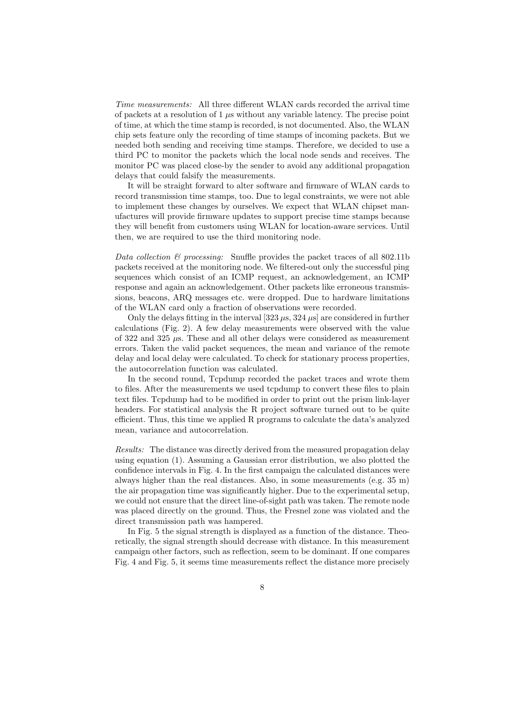*Time measurements:* All three different WLAN cards recorded the arrival time of packets at a resolution of 1  $\mu$ s without any variable latency. The precise point of time, at which the time stamp is recorded, is not documented. Also, the WLAN chip sets feature only the recording of time stamps of incoming packets. But we needed both sending and receiving time stamps. Therefore, we decided to use a third PC to monitor the packets which the local node sends and receives. The monitor PC was placed close-by the sender to avoid any additional propagation delays that could falsify the measurements.

It will be straight forward to alter software and firmware of WLAN cards to record transmission time stamps, too. Due to legal constraints, we were not able to implement these changes by ourselves. We expect that WLAN chipset manufactures will provide firmware updates to support precise time stamps because they will benefit from customers using WLAN for location-aware services. Until then, we are required to use the third monitoring node.

*Data collection & processing:* Snuffle provides the packet traces of all 802.11b packets received at the monitoring node. We filtered-out only the successful ping sequences which consist of an ICMP request, an acknowledgement, an ICMP response and again an acknowledgement. Other packets like erroneous transmissions, beacons, ARQ messages etc. were dropped. Due to hardware limitations of the WLAN card only a fraction of observations were recorded.

Only the delays fitting in the interval [323  $\mu$ s, 324  $\mu$ s] are considered in further calculations (Fig. 2). A few delay measurements were observed with the value of 322 and 325  $\mu$ s. These and all other delays were considered as measurement errors. Taken the valid packet sequences, the mean and variance of the remote delay and local delay were calculated. To check for stationary process properties, the autocorrelation function was calculated.

In the second round, Tcpdump recorded the packet traces and wrote them to files. After the measurements we used tcpdump to convert these files to plain text files. Tcpdump had to be modified in order to print out the prism link-layer headers. For statistical analysis the R project software turned out to be quite efficient. Thus, this time we applied R programs to calculate the data's analyzed mean, variance and autocorrelation.

*Results:* The distance was directly derived from the measured propagation delay using equation (1). Assuming a Gaussian error distribution, we also plotted the confidence intervals in Fig. 4. In the first campaign the calculated distances were always higher than the real distances. Also, in some measurements (e.g. 35 m) the air propagation time was significantly higher. Due to the experimental setup, we could not ensure that the direct line-of-sight path was taken. The remote node was placed directly on the ground. Thus, the Fresnel zone was violated and the direct transmission path was hampered.

In Fig. 5 the signal strength is displayed as a function of the distance. Theoretically, the signal strength should decrease with distance. In this measurement campaign other factors, such as reflection, seem to be dominant. If one compares Fig. 4 and Fig. 5, it seems time measurements reflect the distance more precisely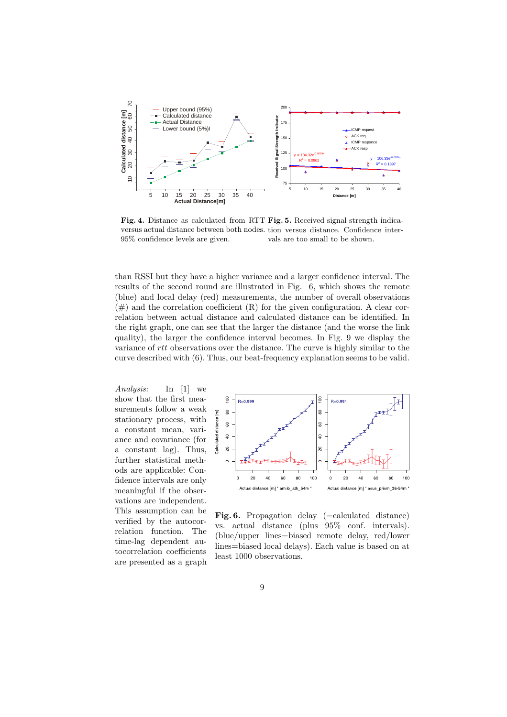

**Fig. 4.** Distance as calculated from RTT **Fig. 5.** Received signal strength indicaversus actual distance between both nodes. tion versus distance. Confidence inter-95% confidence levels are given. vals are too small to be shown.

than RSSI but they have a higher variance and a larger confidence interval. The results of the second round are illustrated in Fig. 6, which shows the remote (blue) and local delay (red) measurements, the number of overall observations  $(\#)$  and the correlation coefficient  $(R)$  for the given configuration. A clear correlation between actual distance and calculated distance can be identified. In the right graph, one can see that the larger the distance (and the worse the link quality), the larger the confidence interval becomes. In Fig. 9 we display the variance of rtt observations over the distance. The curve is highly similar to the curve described with (6). Thus, our beat-frequency explanation seems to be valid.

*Analysis:* In [1] we show that the first measurements follow a weak stationary process, with a constant mean, variance and covariance (for a constant lag). Thus, further statistical methods are applicable: Confidence intervals are only meaningful if the observations are independent. This assumption can be verified by the autocorrelation function. The time-lag dependent autocorrelation coefficients are presented as a graph



Fig. 6. Propagation delay (=calculated distance) vs. actual distance (plus 95% conf. intervals). (blue/upper lines=biased remote delay, red/lower lines=biased local delays). Each value is based on at least 1000 observations.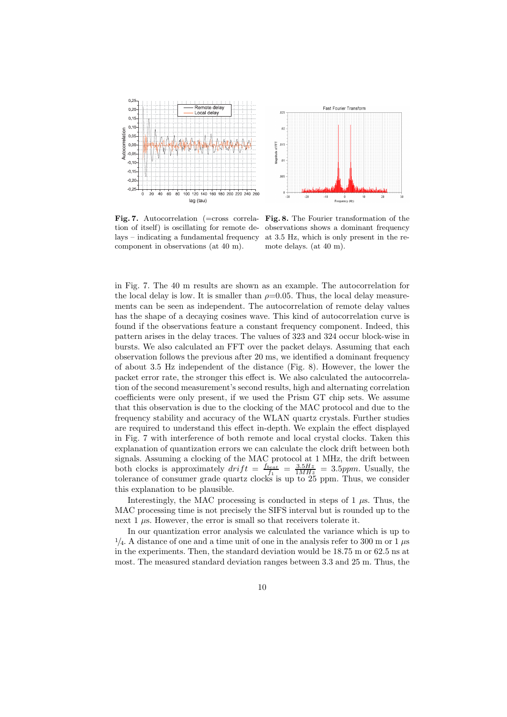



Fig. 7. Autocorrelation (=cross correlation of itself) is oscillating for remote delays – indicating a fundamental frequency component in observations (at 40 m).

**Fig. 8.** The Fourier transformation of the observations shows a dominant frequency at 3.5 Hz, which is only present in the remote delays. (at 40 m).

in Fig. 7. The 40 m results are shown as an example. The autocorrelation for the local delay is low. It is smaller than  $\rho=0.05$ . Thus, the local delay measurements can be seen as independent. The autocorrelation of remote delay values has the shape of a decaying cosines wave. This kind of autocorrelation curve is found if the observations feature a constant frequency component. Indeed, this pattern arises in the delay traces. The values of 323 and 324 occur block-wise in bursts. We also calculated an FFT over the packet delays. Assuming that each observation follows the previous after 20 ms, we identified a dominant frequency of about 3.5 Hz independent of the distance (Fig. 8). However, the lower the packet error rate, the stronger this effect is. We also calculated the autocorrelation of the second measurement's second results, high and alternating correlation coefficients were only present, if we used the Prism GT chip sets. We assume that this observation is due to the clocking of the MAC protocol and due to the frequency stability and accuracy of the WLAN quartz crystals. Further studies are required to understand this effect in-depth. We explain the effect displayed in Fig. 7 with interference of both remote and local crystal clocks. Taken this explanation of quantization errors we can calculate the clock drift between both signals. Assuming a clocking of the MAC protocol at 1 MHz, the drift between both clocks is approximately  $drift = \frac{f_{beat}}{f_1} = \frac{3.5Hz}{1MHz} = 3.5ppm$ . Usually, the tolerance of consumer grade quartz clocks is up to 25 ppm. Thus, we consider this explanation to be plausible.

Interestingly, the MAC processing is conducted in steps of  $1 \mu s$ . Thus, the MAC processing time is not precisely the SIFS interval but is rounded up to the next  $1 \mu s$ . However, the error is small so that receivers tolerate it.

In our quantization error analysis we calculated the variance which is up to  $1/4$ . A distance of one and a time unit of one in the analysis refer to 300 m or 1  $\mu$ s in the experiments. Then, the standard deviation would be 18.75 m or 62.5 ns at most. The measured standard deviation ranges between 3.3 and 25 m. Thus, the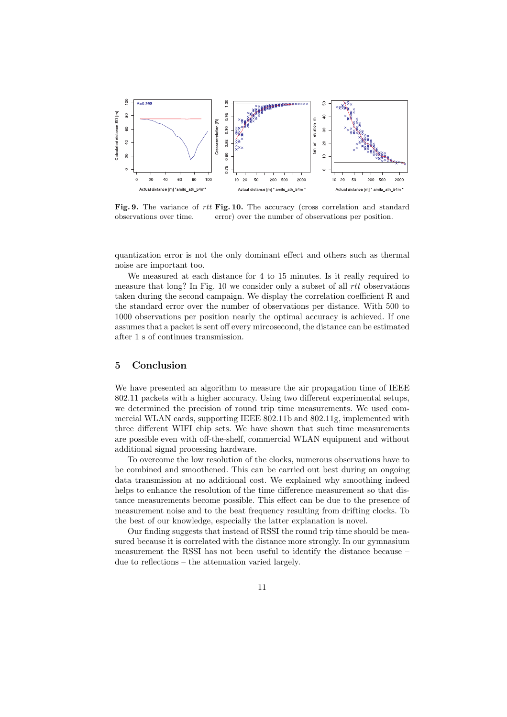

**Fig. 9.** The variance of *rtt* **Fig. 10.** The accuracy (cross correlation and standard observations over time error) over the number of observations per position observations over time. error) over the number of observations per position.

quantization error is not the only dominant effect and others such as thermal noise are important too.

We measured at each distance for 4 to 15 minutes. Is it really required to measure that long? In Fig. 10 we consider only a subset of all  $rtt$  observations taken during the second campaign. We display the correlation coefficient R and the standard error over the number of observations per distance. With 500 to 1000 observations per position nearly the optimal accuracy is achieved. If one assumes that a packet is sent off every mircosecond, the distance can be estimated after 1 s of continues transmission.

# **5 Conclusion**

We have presented an algorithm to measure the air propagation time of IEEE 802.11 packets with a higher accuracy. Using two different experimental setups, we determined the precision of round trip time measurements. We used commercial WLAN cards, supporting IEEE 802.11b and 802.11g, implemented with three different WIFI chip sets. We have shown that such time measurements are possible even with off-the-shelf, commercial WLAN equipment and without additional signal processing hardware.

To overcome the low resolution of the clocks, numerous observations have to be combined and smoothened. This can be carried out best during an ongoing data transmission at no additional cost. We explained why smoothing indeed helps to enhance the resolution of the time difference measurement so that distance measurements become possible. This effect can be due to the presence of measurement noise and to the beat frequency resulting from drifting clocks. To the best of our knowledge, especially the latter explanation is novel.

Our finding suggests that instead of RSSI the round trip time should be measured because it is correlated with the distance more strongly. In our gymnasium measurement the RSSI has not been useful to identify the distance because – due to reflections – the attenuation varied largely.